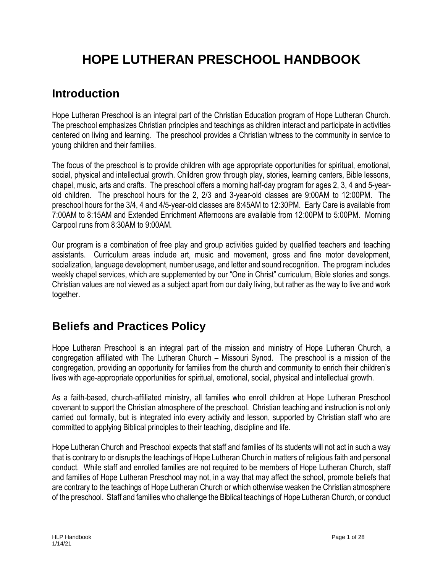# **HOPE LUTHERAN PRESCHOOL HANDBOOK**

## **Introduction**

Hope Lutheran Preschool is an integral part of the Christian Education program of Hope Lutheran Church. The preschool emphasizes Christian principles and teachings as children interact and participate in activities centered on living and learning. The preschool provides a Christian witness to the community in service to young children and their families.

The focus of the preschool is to provide children with age appropriate opportunities for spiritual, emotional, social, physical and intellectual growth. Children grow through play, stories, learning centers, Bible lessons, chapel, music, arts and crafts. The preschool offers a morning half-day program for ages 2, 3, 4 and 5-yearold children. The preschool hours for the 2, 2/3 and 3-year-old classes are 9:00AM to 12:00PM. The preschool hours for the 3/4, 4 and 4/5-year-old classes are 8:45AM to 12:30PM. Early Care is available from 7:00AM to 8:15AM and Extended Enrichment Afternoons are available from 12:00PM to 5:00PM. Morning Carpool runs from 8:30AM to 9:00AM.

Our program is a combination of free play and group activities guided by qualified teachers and teaching assistants. Curriculum areas include art, music and movement, gross and fine motor development, socialization, language development, number usage, and letter and sound recognition. The program includes weekly chapel services, which are supplemented by our "One in Christ" curriculum, Bible stories and songs. Christian values are not viewed as a subject apart from our daily living, but rather as the way to live and work together.

## **Beliefs and Practices Policy**

Hope Lutheran Preschool is an integral part of the mission and ministry of Hope Lutheran Church, a congregation affiliated with The Lutheran Church – Missouri Synod. The preschool is a mission of the congregation, providing an opportunity for families from the church and community to enrich their children's lives with age-appropriate opportunities for spiritual, emotional, social, physical and intellectual growth.

As a faith-based, church-affiliated ministry, all families who enroll children at Hope Lutheran Preschool covenant to support the Christian atmosphere of the preschool. Christian teaching and instruction is not only carried out formally, but is integrated into every activity and lesson, supported by Christian staff who are committed to applying Biblical principles to their teaching, discipline and life.

Hope Lutheran Church and Preschool expects that staff and families of its students will not act in such a way that is contrary to or disrupts the teachings of Hope Lutheran Church in matters of religious faith and personal conduct. While staff and enrolled families are not required to be members of Hope Lutheran Church, staff and families of Hope Lutheran Preschool may not, in a way that may affect the school, promote beliefs that are contrary to the teachings of Hope Lutheran Church or which otherwise weaken the Christian atmosphere of the preschool. Staff and families who challenge the Biblical teachings of Hope Lutheran Church, or conduct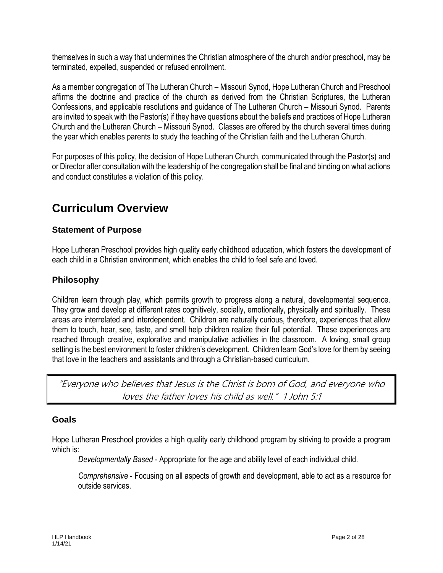themselves in such a way that undermines the Christian atmosphere of the church and/or preschool, may be terminated, expelled, suspended or refused enrollment.

As a member congregation of The Lutheran Church – Missouri Synod, Hope Lutheran Church and Preschool affirms the doctrine and practice of the church as derived from the Christian Scriptures, the Lutheran Confessions, and applicable resolutions and guidance of The Lutheran Church – Missouri Synod. Parents are invited to speak with the Pastor(s) if they have questions about the beliefs and practices of Hope Lutheran Church and the Lutheran Church – Missouri Synod. Classes are offered by the church several times during the year which enables parents to study the teaching of the Christian faith and the Lutheran Church.

For purposes of this policy, the decision of Hope Lutheran Church, communicated through the Pastor(s) and or Director after consultation with the leadership of the congregation shall be final and binding on what actions and conduct constitutes a violation of this policy.

## **Curriculum Overview**

## **Statement of Purpose**

Hope Lutheran Preschool provides high quality early childhood education, which fosters the development of each child in a Christian environment, which enables the child to feel safe and loved.

## **Philosophy**

Children learn through play, which permits growth to progress along a natural, developmental sequence. They grow and develop at different rates cognitively, socially, emotionally, physically and spiritually. These areas are interrelated and interdependent. Children are naturally curious, therefore, experiences that allow them to touch, hear, see, taste, and smell help children realize their full potential. These experiences are reached through creative, explorative and manipulative activities in the classroom. A loving, small group setting is the best environment to foster children's development. Children learn God's love for them by seeing that love in the teachers and assistants and through a Christian-based curriculum.

"Everyone who believes that Jesus is the Christ is born of God, and everyone who loves the father loves his child as well." 1 John 5:1

## **Goals**

Hope Lutheran Preschool provides a high quality early childhood program by striving to provide a program which is:

*Developmentally Based* - Appropriate for the age and ability level of each individual child.

*Comprehensive* - Focusing on all aspects of growth and development, able to act as a resource for outside services.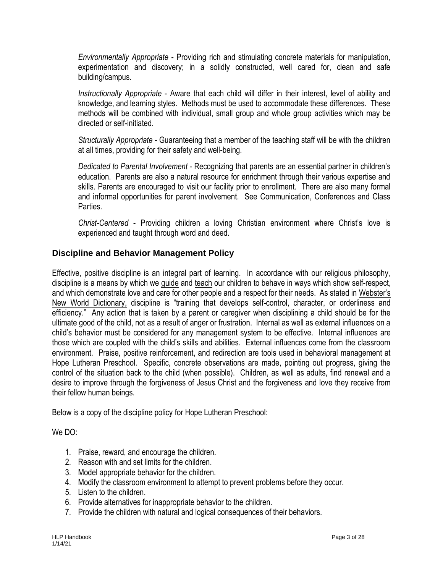*Environmentally Appropriate* - Providing rich and stimulating concrete materials for manipulation, experimentation and discovery; in a solidly constructed, well cared for, clean and safe building/campus.

*Instructionally Appropriate* - Aware that each child will differ in their interest, level of ability and knowledge, and learning styles. Methods must be used to accommodate these differences. These methods will be combined with individual, small group and whole group activities which may be directed or self-initiated.

*Structurally Appropriate* - Guaranteeing that a member of the teaching staff will be with the children at all times, providing for their safety and well-being.

*Dedicated to Parental Involvement* - Recognizing that parents are an essential partner in children's education. Parents are also a natural resource for enrichment through their various expertise and skills. Parents are encouraged to visit our facility prior to enrollment. There are also many formal and informal opportunities for parent involvement. See Communication, Conferences and Class Parties.

*Christ-Centered* - Providing children a loving Christian environment where Christ's love is experienced and taught through word and deed.

#### **Discipline and Behavior Management Policy**

Effective, positive discipline is an integral part of learning. In accordance with our religious philosophy, discipline is a means by which we guide and teach our children to behave in ways which show self-respect, and which demonstrate love and care for other people and a respect for their needs. As stated in Webster's New World Dictionary, discipline is "training that develops self-control, character, or orderliness and efficiency." Any action that is taken by a parent or caregiver when disciplining a child should be for the ultimate good of the child, not as a result of anger or frustration. Internal as well as external influences on a child's behavior must be considered for any management system to be effective. Internal influences are those which are coupled with the child's skills and abilities. External influences come from the classroom environment. Praise, positive reinforcement, and redirection are tools used in behavioral management at Hope Lutheran Preschool. Specific, concrete observations are made, pointing out progress, giving the control of the situation back to the child (when possible). Children, as well as adults, find renewal and a desire to improve through the forgiveness of Jesus Christ and the forgiveness and love they receive from their fellow human beings.

Below is a copy of the discipline policy for Hope Lutheran Preschool:

We DO:

- 1. Praise, reward, and encourage the children.
- 2. Reason with and set limits for the children.
- 3. Model appropriate behavior for the children.
- 4. Modify the classroom environment to attempt to prevent problems before they occur.
- 5. Listen to the children.
- 6. Provide alternatives for inappropriate behavior to the children.
- 7. Provide the children with natural and logical consequences of their behaviors.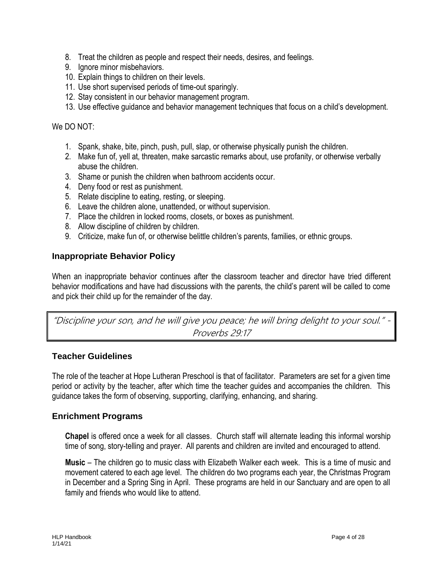- 8. Treat the children as people and respect their needs, desires, and feelings.
- 9. Ignore minor misbehaviors.
- 10. Explain things to children on their levels.
- 11. Use short supervised periods of time-out sparingly.
- 12. Stay consistent in our behavior management program.
- 13. Use effective guidance and behavior management techniques that focus on a child's development.

We DO NOT:

- 1. Spank, shake, bite, pinch, push, pull, slap, or otherwise physically punish the children.
- 2. Make fun of, yell at, threaten, make sarcastic remarks about, use profanity, or otherwise verbally abuse the children.
- 3. Shame or punish the children when bathroom accidents occur.
- 4. Deny food or rest as punishment.
- 5. Relate discipline to eating, resting, or sleeping.
- 6. Leave the children alone, unattended, or without supervision.
- 7. Place the children in locked rooms, closets, or boxes as punishment.
- 8. Allow discipline of children by children.
- 9. Criticize, make fun of, or otherwise belittle children's parents, families, or ethnic groups.

#### **Inappropriate Behavior Policy**

When an inappropriate behavior continues after the classroom teacher and director have tried different behavior modifications and have had discussions with the parents, the child's parent will be called to come and pick their child up for the remainder of the day.

"Discipline your son, and he will give you peace; he will bring delight to your soul." - Proverbs 29:17

#### **Teacher Guidelines**

The role of the teacher at Hope Lutheran Preschool is that of facilitator. Parameters are set for a given time period or activity by the teacher, after which time the teacher guides and accompanies the children. This guidance takes the form of observing, supporting, clarifying, enhancing, and sharing.

#### **Enrichment Programs**

**Chapel** is offered once a week for all classes. Church staff will alternate leading this informal worship time of song, story-telling and prayer. All parents and children are invited and encouraged to attend.

**Music** – The children go to music class with Elizabeth Walker each week. This is a time of music and movement catered to each age level. The children do two programs each year, the Christmas Program in December and a Spring Sing in April. These programs are held in our Sanctuary and are open to all family and friends who would like to attend.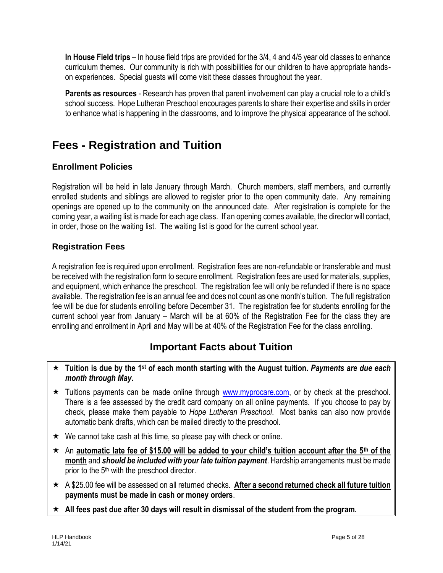**In House Field trips** – In house field trips are provided for the 3/4, 4 and 4/5 year old classes to enhance curriculum themes. Our community is rich with possibilities for our children to have appropriate handson experiences. Special guests will come visit these classes throughout the year.

**Parents as resources** - Research has proven that parent involvement can play a crucial role to a child's school success. Hope Lutheran Preschool encourages parents to share their expertise and skills in order to enhance what is happening in the classrooms, and to improve the physical appearance of the school.

## **Fees - Registration and Tuition**

## **Enrollment Policies**

Registration will be held in late January through March. Church members, staff members, and currently enrolled students and siblings are allowed to register prior to the open community date. Any remaining openings are opened up to the community on the announced date. After registration is complete for the coming year, a waiting list is made for each age class. If an opening comes available, the director will contact, in order, those on the waiting list. The waiting list is good for the current school year.

## **Registration Fees**

A registration fee is required upon enrollment. Registration fees are non-refundable or transferable and must be received with the registration form to secure enrollment. Registration fees are used for materials, supplies, and equipment, which enhance the preschool. The registration fee will only be refunded if there is no space available. The registration fee is an annual fee and does not count as one month's tuition. The full registration fee will be due for students enrolling before December 31. The registration fee for students enrolling for the current school year from January – March will be at 60% of the Registration Fee for the class they are enrolling and enrollment in April and May will be at 40% of the Registration Fee for the class enrolling.

## **Important Facts about Tuition**

- **Tuition is due by the 1st of each month starting with the August tuition.** *Payments are due each month through May***.**
- $\star$  Tuitions payments can be made online through [www.myprocare.com,](http://www.myprocare.com/) or by check at the preschool. There is a fee assessed by the credit card company on all online payments. If you choose to pay by check, please make them payable to *Hope Lutheran Preschool*. Most banks can also now provide automatic bank drafts, which can be mailed directly to the preschool.
- $\star$  We cannot take cash at this time, so please pay with check or online.
- An **automatic late fee of \$15.00 will be added to your child's tuition account after the 5th of the month** and *should be included with your late tuition payment*. Hardship arrangements must be made prior to the 5<sup>th</sup> with the preschool director.
- A \$25.00 fee will be assessed on all returned checks. **After a second returned check all future tuition payments must be made in cash or money orders**.
- **All fees past due after 30 days will result in dismissal of the student from the program.**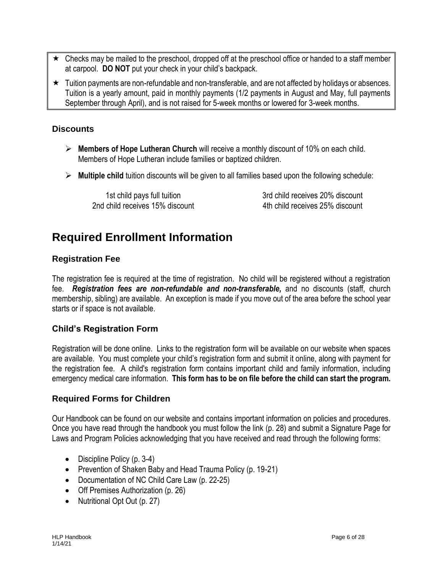- $\star$  Checks may be mailed to the preschool, dropped off at the preschool office or handed to a staff member at carpool. **DO NOT** put your check in your child's backpack.
- $\star$  Tuition payments are non-refundable and non-transferable, and are not affected by holidays or absences. Tuition is a yearly amount, paid in monthly payments (1/2 payments in August and May, full payments September through April), and is not raised for 5-week months or lowered for 3-week months.

#### **Discounts**

- **Members of Hope Lutheran Church** will receive a monthly discount of 10% on each child. Members of Hope Lutheran include families or baptized children.
- **Multiple child** tuition discounts will be given to all families based upon the following schedule:

1st child pays full tuition 3rd child receives 20% discount 2nd child receives 15% discount 4th child receives 25% discount

## **Required Enrollment Information**

## **Registration Fee**

The registration fee is required at the time of registration. No child will be registered without a registration fee. *Registration fees are non-refundable and non-transferable,* and no discounts (staff, church membership, sibling) are available. An exception is made if you move out of the area before the school year starts or if space is not available.

## **Child's Registration Form**

Registration will be done online. Links to the registration form will be available on our website when spaces are available. You must complete your child's registration form and submit it online, along with payment for the registration fee. A child's registration form contains important child and family information, including emergency medical care information. **This form has to be on file before the child can start the program.**

## **Required Forms for Children**

Our Handbook can be found on our website and contains important information on policies and procedures. Once you have read through the handbook you must follow the link (p. 28) and submit a Signature Page for Laws and Program Policies acknowledging that you have received and read through the following forms:

- Discipline Policy (p. 3-4)
- Prevention of Shaken Baby and Head Trauma Policy (p. 19-21)
- Documentation of NC Child Care Law (p. 22-25)
- Off Premises Authorization (p. 26)
- Nutritional Opt Out (p. 27)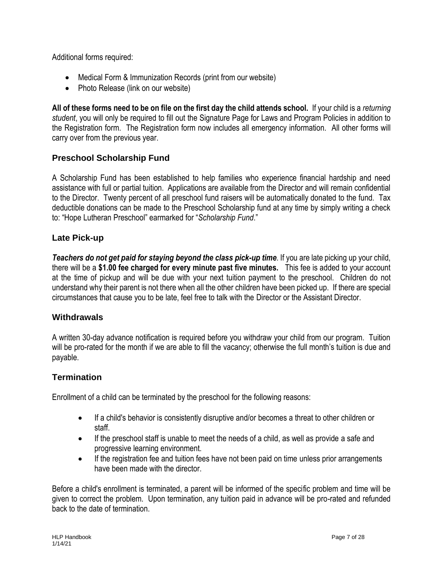Additional forms required:

- Medical Form & Immunization Records (print from our website)
- Photo Release (link on our website)

**All of these forms need to be on file on the first day the child attends school.** If your child is a *returning student*, you will only be required to fill out the Signature Page for Laws and Program Policies in addition to the Registration form. The Registration form now includes all emergency information. All other forms will carry over from the previous year.

## **Preschool Scholarship Fund**

A Scholarship Fund has been established to help families who experience financial hardship and need assistance with full or partial tuition. Applications are available from the Director and will remain confidential to the Director. Twenty percent of all preschool fund raisers will be automatically donated to the fund. Tax deductible donations can be made to the Preschool Scholarship fund at any time by simply writing a check to: "Hope Lutheran Preschool" earmarked for "*Scholarship Fund*."

## **Late Pick-up**

*Teachers do not get paid for staying beyond the class pick-up time*. If you are late picking up your child, there will be a **\$1.00 fee charged for every minute past five minutes.** This fee is added to your account at the time of pickup and will be due with your next tuition payment to the preschool. Children do not understand why their parent is not there when all the other children have been picked up. If there are special circumstances that cause you to be late, feel free to talk with the Director or the Assistant Director.

## **Withdrawals**

A written 30-day advance notification is required before you withdraw your child from our program. Tuition will be pro-rated for the month if we are able to fill the vacancy; otherwise the full month's tuition is due and payable.

## **Termination**

Enrollment of a child can be terminated by the preschool for the following reasons:

- If a child's behavior is consistently disruptive and/or becomes a threat to other children or staff.
- If the preschool staff is unable to meet the needs of a child, as well as provide a safe and progressive learning environment.
- If the registration fee and tuition fees have not been paid on time unless prior arrangements have been made with the director.

Before a child's enrollment is terminated, a parent will be informed of the specific problem and time will be given to correct the problem. Upon termination, any tuition paid in advance will be pro-rated and refunded back to the date of termination.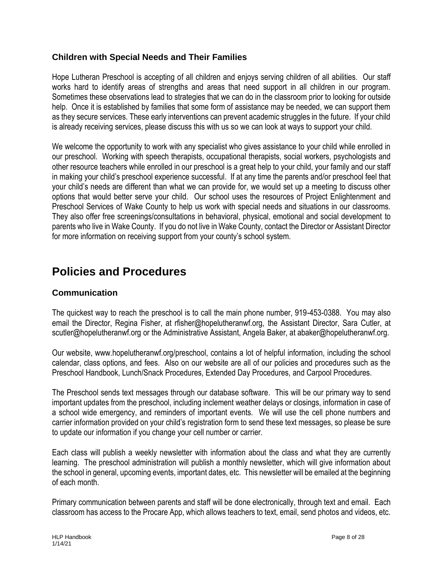## **Children with Special Needs and Their Families**

Hope Lutheran Preschool is accepting of all children and enjoys serving children of all abilities. Our staff works hard to identify areas of strengths and areas that need support in all children in our program. Sometimes these observations lead to strategies that we can do in the classroom prior to looking for outside help. Once it is established by families that some form of assistance may be needed, we can support them as they secure services. These early interventions can prevent academic struggles in the future. If your child is already receiving services, please discuss this with us so we can look at ways to support your child.

We welcome the opportunity to work with any specialist who gives assistance to your child while enrolled in our preschool. Working with speech therapists, occupational therapists, social workers, psychologists and other resource teachers while enrolled in our preschool is a great help to your child, your family and our staff in making your child's preschool experience successful. If at any time the parents and/or preschool feel that your child's needs are different than what we can provide for, we would set up a meeting to discuss other options that would better serve your child. Our school uses the resources of Project Enlightenment and Preschool Services of Wake County to help us work with special needs and situations in our classrooms. They also offer free screenings/consultations in behavioral, physical, emotional and social development to parents who live in Wake County. If you do not live in Wake County, contact the Director or Assistant Director for more information on receiving support from your county's school system.

## **Policies and Procedures**

#### **Communication**

The quickest way to reach the preschool is to call the main phone number, 919-453-0388. You may also email the Director, Regina Fisher, at rfisher@hopelutheranwf.org, the Assistant Director, Sara Cutler, at scutler@hopelutheranwf.org or the Administrative Assistant, Angela Baker, at abaker@hopelutheranwf.org.

Our website, www.hopelutheranwf.org/preschool, contains a lot of helpful information, including the school calendar, class options, and fees. Also on our website are all of our policies and procedures such as the Preschool Handbook, Lunch/Snack Procedures, Extended Day Procedures, and Carpool Procedures.

The Preschool sends text messages through our database software. This will be our primary way to send important updates from the preschool, including inclement weather delays or closings, information in case of a school wide emergency, and reminders of important events. We will use the cell phone numbers and carrier information provided on your child's registration form to send these text messages, so please be sure to update our information if you change your cell number or carrier.

Each class will publish a weekly newsletter with information about the class and what they are currently learning. The preschool administration will publish a monthly newsletter, which will give information about the school in general, upcoming events, important dates, etc. This newsletter will be emailed at the beginning of each month.

Primary communication between parents and staff will be done electronically, through text and email. Each classroom has access to the Procare App, which allows teachers to text, email, send photos and videos, etc.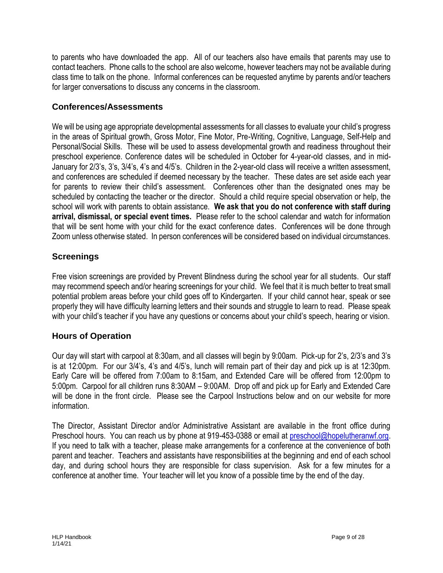to parents who have downloaded the app. All of our teachers also have emails that parents may use to contact teachers. Phone calls to the school are also welcome, however teachers may not be available during class time to talk on the phone. Informal conferences can be requested anytime by parents and/or teachers for larger conversations to discuss any concerns in the classroom.

## **Conferences/Assessments**

We will be using age appropriate developmental assessments for all classes to evaluate your child's progress in the areas of Spiritual growth, Gross Motor, Fine Motor, Pre-Writing, Cognitive, Language, Self-Help and Personal/Social Skills. These will be used to assess developmental growth and readiness throughout their preschool experience. Conference dates will be scheduled in October for 4-year-old classes, and in mid-January for 2/3's, 3's, 3/4's, 4's and 4/5's. Children in the 2-year-old class will receive a written assessment, and conferences are scheduled if deemed necessary by the teacher. These dates are set aside each year for parents to review their child's assessment. Conferences other than the designated ones may be scheduled by contacting the teacher or the director. Should a child require special observation or help, the school will work with parents to obtain assistance. **We ask that you do not conference with staff during arrival, dismissal, or special event times.** Please refer to the school calendar and watch for information that will be sent home with your child for the exact conference dates. Conferences will be done through Zoom unless otherwise stated. In person conferences will be considered based on individual circumstances.

## **Screenings**

Free vision screenings are provided by Prevent Blindness during the school year for all students. Our staff may recommend speech and/or hearing screenings for your child. We feel that it is much better to treat small potential problem areas before your child goes off to Kindergarten. If your child cannot hear, speak or see properly they will have difficulty learning letters and their sounds and struggle to learn to read. Please speak with your child's teacher if you have any questions or concerns about your child's speech, hearing or vision.

## **Hours of Operation**

Our day will start with carpool at 8:30am, and all classes will begin by 9:00am. Pick-up for 2's, 2/3's and 3's is at 12:00pm. For our 3/4's, 4's and 4/5's, lunch will remain part of their day and pick up is at 12:30pm. Early Care will be offered from 7:00am to 8:15am, and Extended Care will be offered from 12:00pm to 5:00pm. Carpool for all children runs 8:30AM – 9:00AM. Drop off and pick up for Early and Extended Care will be done in the front circle. Please see the Carpool Instructions below and on our website for more information.

The Director, Assistant Director and/or Administrative Assistant are available in the front office during Preschool hours. You can reach us by phone at 919-453-0388 or email at [preschool@hopelutheranwf.org.](mailto:preschool@hopelutheranwf.org) If you need to talk with a teacher, please make arrangements for a conference at the convenience of both parent and teacher. Teachers and assistants have responsibilities at the beginning and end of each school day, and during school hours they are responsible for class supervision. Ask for a few minutes for a conference at another time. Your teacher will let you know of a possible time by the end of the day.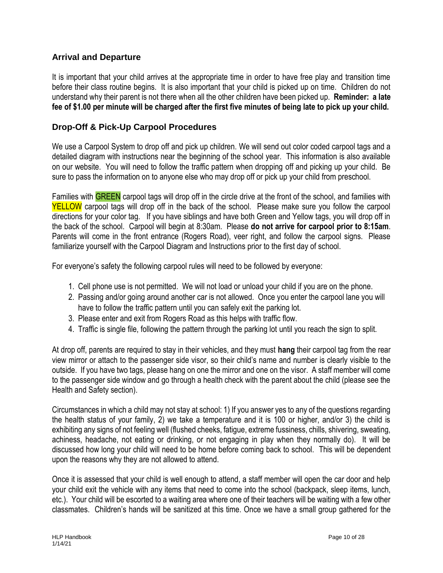## **Arrival and Departure**

It is important that your child arrives at the appropriate time in order to have free play and transition time before their class routine begins. It is also important that your child is picked up on time. Children do not understand why their parent is not there when all the other children have been picked up. **Reminder: a late fee of \$1.00 per minute will be charged after the first five minutes of being late to pick up your child.**

### **Drop-Off & Pick-Up Carpool Procedures**

We use a Carpool System to drop off and pick up children. We will send out color coded carpool tags and a detailed diagram with instructions near the beginning of the school year. This information is also available on our website. You will need to follow the traffic pattern when dropping off and picking up your child. Be sure to pass the information on to anyone else who may drop off or pick up your child from preschool.

Families with GREEN carpool tags will drop off in the circle drive at the front of the school, and families with **YELLOW** carpool tags will drop off in the back of the school. Please make sure you follow the carpool directions for your color tag. If you have siblings and have both Green and Yellow tags, you will drop off in the back of the school. Carpool will begin at 8:30am. Please **do not arrive for carpool prior to 8:15am**. Parents will come in the front entrance (Rogers Road), veer right, and follow the carpool signs. Please familiarize yourself with the Carpool Diagram and Instructions prior to the first day of school.

For everyone's safety the following carpool rules will need to be followed by everyone:

- 1. Cell phone use is not permitted. We will not load or unload your child if you are on the phone.
- 2. Passing and/or going around another car is not allowed. Once you enter the carpool lane you will have to follow the traffic pattern until you can safely exit the parking lot.
- 3. Please enter and exit from Rogers Road as this helps with traffic flow.
- 4. Traffic is single file, following the pattern through the parking lot until you reach the sign to split.

At drop off, parents are required to stay in their vehicles, and they must **hang** their carpool tag from the rear view mirror or attach to the passenger side visor, so their child's name and number is clearly visible to the outside. If you have two tags, please hang on one the mirror and one on the visor. A staff member will come to the passenger side window and go through a health check with the parent about the child (please see the Health and Safety section).

Circumstances in which a child may not stay at school: 1) If you answer yes to any of the questions regarding the health status of your family, 2) we take a temperature and it is 100 or higher, and/or 3) the child is exhibiting any signs of not feeling well (flushed cheeks, fatigue, extreme fussiness, chills, shivering, sweating, achiness, headache, not eating or drinking, or not engaging in play when they normally do). It will be discussed how long your child will need to be home before coming back to school. This will be dependent upon the reasons why they are not allowed to attend.

Once it is assessed that your child is well enough to attend, a staff member will open the car door and help your child exit the vehicle with any items that need to come into the school (backpack, sleep items, lunch, etc.). Your child will be escorted to a waiting area where one of their teachers will be waiting with a few other classmates. Children's hands will be sanitized at this time. Once we have a small group gathered for the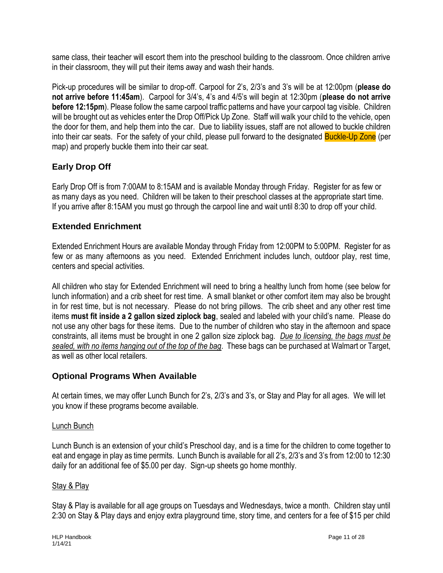same class, their teacher will escort them into the preschool building to the classroom. Once children arrive in their classroom, they will put their items away and wash their hands.

Pick-up procedures will be similar to drop-off. Carpool for 2's, 2/3's and 3's will be at 12:00pm (**please do not arrive before 11:45am**). Carpool for 3/4's, 4's and 4/5's will begin at 12:30pm (**please do not arrive before 12:15pm**). Please follow the same carpool traffic patterns and have your carpool tag visible. Children will be brought out as vehicles enter the Drop Off/Pick Up Zone. Staff will walk your child to the vehicle, open the door for them, and help them into the car. Due to liability issues, staff are not allowed to buckle children into their car seats. For the safety of your child, please pull forward to the designated **Buckle-Up Zone** (per map) and properly buckle them into their car seat.

## **Early Drop Off**

Early Drop Off is from 7:00AM to 8:15AM and is available Monday through Friday. Register for as few or as many days as you need. Children will be taken to their preschool classes at the appropriate start time. If you arrive after 8:15AM you must go through the carpool line and wait until 8:30 to drop off your child.

## **Extended Enrichment**

Extended Enrichment Hours are available Monday through Friday from 12:00PM to 5:00PM. Register for as few or as many afternoons as you need. Extended Enrichment includes lunch, outdoor play, rest time, centers and special activities.

All children who stay for Extended Enrichment will need to bring a healthy lunch from home (see below for lunch information) and a crib sheet for rest time. A small blanket or other comfort item may also be brought in for rest time, but is not necessary. Please do not bring pillows. The crib sheet and any other rest time items **must fit inside a 2 gallon sized ziplock bag**, sealed and labeled with your child's name. Please do not use any other bags for these items. Due to the number of children who stay in the afternoon and space constraints, all items must be brought in one 2 gallon size ziplock bag. *Due to licensing, the bags must be sealed, with no items hanging out of the top of the bag*. These bags can be purchased at Walmart or Target, as well as other local retailers.

## **Optional Programs When Available**

At certain times, we may offer Lunch Bunch for 2's, 2/3's and 3's, or Stay and Play for all ages. We will let you know if these programs become available.

#### Lunch Bunch

Lunch Bunch is an extension of your child's Preschool day, and is a time for the children to come together to eat and engage in play as time permits. Lunch Bunch is available for all 2's, 2/3's and 3's from 12:00 to 12:30 daily for an additional fee of \$5.00 per day. Sign-up sheets go home monthly.

## Stay & Play

Stay & Play is available for all age groups on Tuesdays and Wednesdays, twice a month. Children stay until 2:30 on Stay & Play days and enjoy extra playground time, story time, and centers for a fee of \$15 per child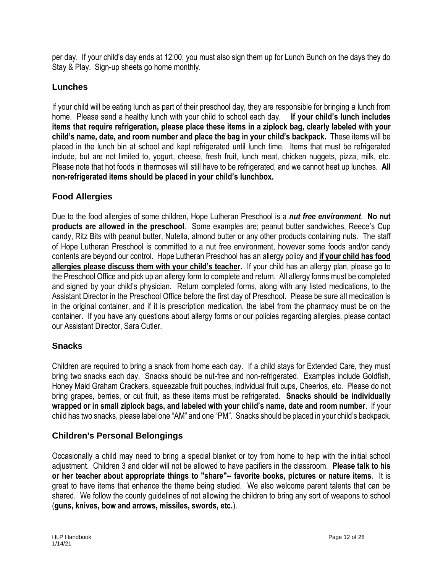per day. If your child's day ends at 12:00, you must also sign them up for Lunch Bunch on the days they do Stay & Play. Sign-up sheets go home monthly.

## **Lunches**

If your child will be eating lunch as part of their preschool day, they are responsible for bringing a lunch from home. Please send a healthy lunch with your child to school each day. **If your child's lunch includes items that require refrigeration, please place these items in a ziplock bag, clearly labeled with your child's name, date, and room number and place the bag in your child's backpack.** These items will be placed in the lunch bin at school and kept refrigerated until lunch time. Items that must be refrigerated include, but are not limited to, yogurt, cheese, fresh fruit, lunch meat, chicken nuggets, pizza, milk, etc. Please note that hot foods in thermoses will still have to be refrigerated, and we cannot heat up lunches. **All non-refrigerated items should be placed in your child's lunchbox.**

## **Food Allergies**

Due to the food allergies of some children, Hope Lutheran Preschool is a *nut free environment*. **No nut products are allowed in the preschool**. Some examples are; peanut butter sandwiches, Reece's Cup candy, Ritz Bits with peanut butter, Nutella, almond butter or any other products containing nuts. The staff of Hope Lutheran Preschool is committed to a nut free environment, however some foods and/or candy contents are beyond our control. Hope Lutheran Preschool has an allergy policy and **if your child has food allergies please discuss them with your child's teacher.** If your child has an allergy plan, please go to the Preschool Office and pick up an allergy form to complete and return. All allergy forms must be completed and signed by your child's physician. Return completed forms, along with any listed medications, to the Assistant Director in the Preschool Office before the first day of Preschool. Please be sure all medication is in the original container, and if it is prescription medication, the label from the pharmacy must be on the container. If you have any questions about allergy forms or our policies regarding allergies, please contact our Assistant Director, Sara Cutler.

## **Snacks**

Children are required to bring a snack from home each day. If a child stays for Extended Care, they must bring two snacks each day. Snacks should be nut-free and non-refrigerated. Examples include Goldfish, Honey Maid Graham Crackers, squeezable fruit pouches, individual fruit cups, Cheerios, etc. Please do not bring grapes, berries, or cut fruit, as these items must be refrigerated. **Snacks should be individually wrapped or in small ziplock bags, and labeled with your child's name, date and room number**. If your child has two snacks, please label one "AM" and one "PM". Snacks should be placed in your child's backpack.

## **Children's Personal Belongings**

Occasionally a child may need to bring a special blanket or toy from home to help with the initial school adjustment. Children 3 and older will not be allowed to have pacifiers in the classroom. **Please talk to his or her teacher about appropriate things to "share"-- favorite books, pictures or nature items**. It is great to have items that enhance the theme being studied. We also welcome parent talents that can be shared. We follow the county guidelines of not allowing the children to bring any sort of weapons to school (**guns, knives, bow and arrows, missiles, swords, etc.**).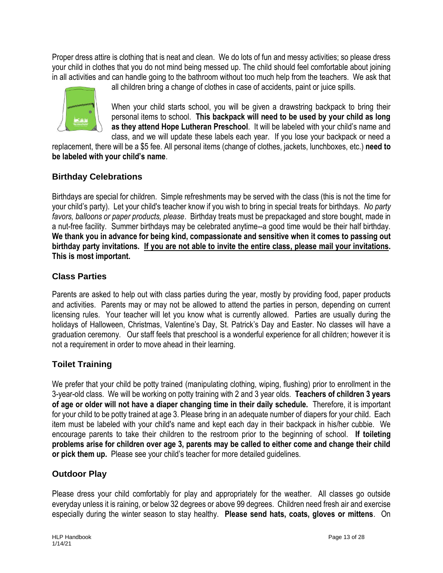Proper dress attire is clothing that is neat and clean. We do lots of fun and messy activities; so please dress your child in clothes that you do not mind being messed up. The child should feel comfortable about joining in all activities and can handle going to the bathroom without too much help from the teachers. We ask that



all children bring a change of clothes in case of accidents, paint or juice spills.

When your child starts school, you will be given a drawstring backpack to bring their personal items to school. **This backpack will need to be used by your child as long as they attend Hope Lutheran Preschool**. It will be labeled with your child's name and class, and we will update these labels each year. If you lose your backpack or need a

replacement, there will be a \$5 fee. All personal items (change of clothes, jackets, lunchboxes, etc.) **need to be labeled with your child's name**.

## **Birthday Celebrations**

Birthdays are special for children. Simple refreshments may be served with the class (this is not the time for your child's party). Let your child's teacher know if you wish to bring in special treats for birthdays. *No party favors, balloons or paper products, please*. Birthday treats must be prepackaged and store bought, made in a nut-free facility. Summer birthdays may be celebrated anytime--a good time would be their half birthday. **We thank you in advance for being kind, compassionate and sensitive when it comes to passing out birthday party invitations. If you are not able to invite the entire class, please mail your invitations. This is most important.** 

## **Class Parties**

Parents are asked to help out with class parties during the year, mostly by providing food, paper products and activities. Parents may or may not be allowed to attend the parties in person, depending on current licensing rules. Your teacher will let you know what is currently allowed. Parties are usually during the holidays of Halloween, Christmas, Valentine's Day, St. Patrick's Day and Easter. No classes will have a graduation ceremony. Our staff feels that preschool is a wonderful experience for all children; however it is not a requirement in order to move ahead in their learning.

## **Toilet Training**

We prefer that your child be potty trained (manipulating clothing, wiping, flushing) prior to enrollment in the 3-year-old class. We will be working on potty training with 2 and 3 year olds. **Teachers of children 3 years of age or older will not have a diaper changing time in their daily schedule.** Therefore, it is important for your child to be potty trained at age 3. Please bring in an adequate number of diapers for your child. Each item must be labeled with your child's name and kept each day in their backpack in his/her cubbie. We encourage parents to take their children to the restroom prior to the beginning of school. **If toileting problems arise for children over age 3, parents may be called to either come and change their child or pick them up.** Please see your child's teacher for more detailed guidelines.

## **Outdoor Play**

Please dress your child comfortably for play and appropriately for the weather. All classes go outside everyday unless it is raining, or below 32 degrees or above 99 degrees. Children need fresh air and exercise especially during the winter season to stay healthy. **Please send hats, coats, gloves or mittens**. On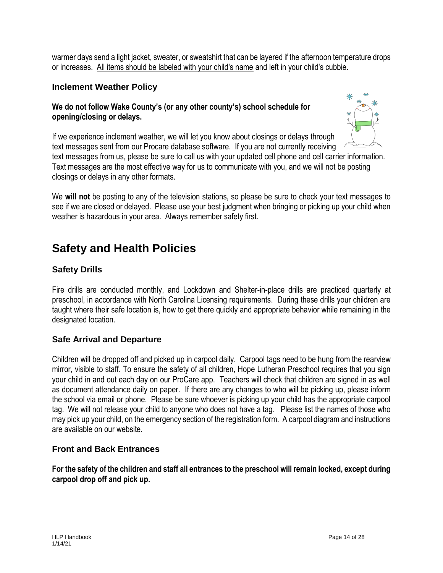warmer days send a light jacket, sweater, or sweatshirt that can be layered if the afternoon temperature drops or increases. All items should be labeled with your child's name and left in your child's cubbie.

#### **Inclement Weather Policy**

### **We do not follow Wake County's (or any other county's) school schedule for opening/closing or delays.**



If we experience inclement weather, we will let you know about closings or delays through text messages sent from our Procare database software. If you are not currently receiving text messages from us, please be sure to call us with your updated cell phone and cell carrier information. Text messages are the most effective way for us to communicate with you, and we will not be posting closings or delays in any other formats.

We **will not** be posting to any of the television stations, so please be sure to check your text messages to see if we are closed or delayed. Please use your best judgment when bringing or picking up your child when weather is hazardous in your area. Always remember safety first.

## **Safety and Health Policies**

## **Safety Drills**

Fire drills are conducted monthly, and Lockdown and Shelter-in-place drills are practiced quarterly at preschool, in accordance with North Carolina Licensing requirements. During these drills your children are taught where their safe location is, how to get there quickly and appropriate behavior while remaining in the designated location.

#### **Safe Arrival and Departure**

Children will be dropped off and picked up in carpool daily. Carpool tags need to be hung from the rearview mirror, visible to staff. To ensure the safety of all children, Hope Lutheran Preschool requires that you sign your child in and out each day on our ProCare app. Teachers will check that children are signed in as well as document attendance daily on paper. If there are any changes to who will be picking up, please inform the school via email or phone. Please be sure whoever is picking up your child has the appropriate carpool tag. We will not release your child to anyone who does not have a tag. Please list the names of those who may pick up your child, on the emergency section of the registration form. A carpool diagram and instructions are available on our website.

#### **Front and Back Entrances**

**For the safety of the children and staff all entrances to the preschool will remain locked, except during carpool drop off and pick up.**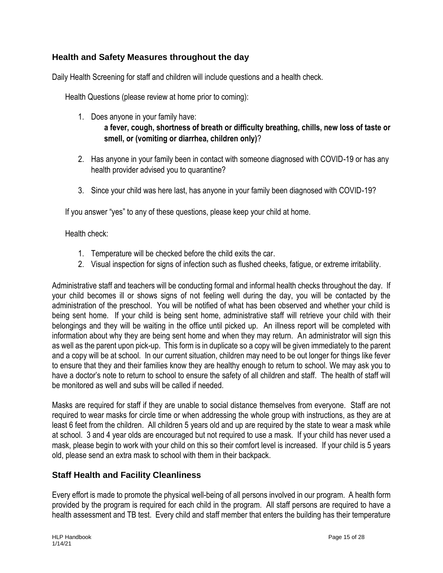## **Health and Safety Measures throughout the day**

Daily Health Screening for staff and children will include questions and a health check.

Health Questions (please review at home prior to coming):

- 1. Does anyone in your family have: **a fever, cough, shortness of breath or difficulty breathing, chills, new loss of taste or smell, or (vomiting or diarrhea, children only)**?
- 2. Has anyone in your family been in contact with someone diagnosed with COVID-19 or has any health provider advised you to quarantine?
- 3. Since your child was here last, has anyone in your family been diagnosed with COVID-19?

If you answer "yes" to any of these questions, please keep your child at home.

Health check:

- 1. Temperature will be checked before the child exits the car.
- 2. Visual inspection for signs of infection such as flushed cheeks, fatigue, or extreme irritability.

Administrative staff and teachers will be conducting formal and informal health checks throughout the day. If your child becomes ill or shows signs of not feeling well during the day, you will be contacted by the administration of the preschool. You will be notified of what has been observed and whether your child is being sent home. If your child is being sent home, administrative staff will retrieve your child with their belongings and they will be waiting in the office until picked up. An illness report will be completed with information about why they are being sent home and when they may return. An administrator will sign this as well as the parent upon pick-up. This form is in duplicate so a copy will be given immediately to the parent and a copy will be at school. In our current situation, children may need to be out longer for things like fever to ensure that they and their families know they are healthy enough to return to school. We may ask you to have a doctor's note to return to school to ensure the safety of all children and staff. The health of staff will be monitored as well and subs will be called if needed.

Masks are required for staff if they are unable to social distance themselves from everyone. Staff are not required to wear masks for circle time or when addressing the whole group with instructions, as they are at least 6 feet from the children. All children 5 years old and up are required by the state to wear a mask while at school. 3 and 4 year olds are encouraged but not required to use a mask. If your child has never used a mask, please begin to work with your child on this so their comfort level is increased. If your child is 5 years old, please send an extra mask to school with them in their backpack.

## **Staff Health and Facility Cleanliness**

Every effort is made to promote the physical well-being of all persons involved in our program. A health form provided by the program is required for each child in the program. All staff persons are required to have a health assessment and TB test. Every child and staff member that enters the building has their temperature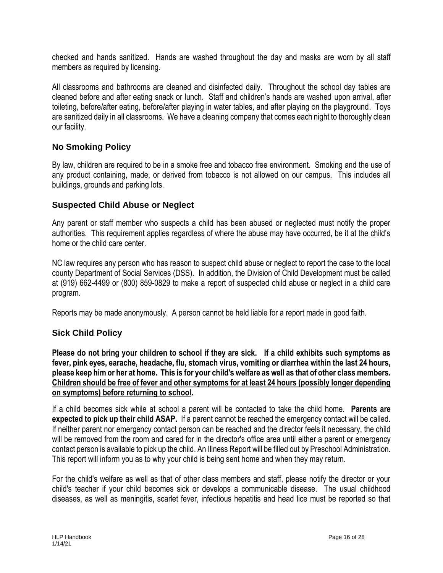checked and hands sanitized. Hands are washed throughout the day and masks are worn by all staff members as required by licensing.

All classrooms and bathrooms are cleaned and disinfected daily. Throughout the school day tables are cleaned before and after eating snack or lunch. Staff and children's hands are washed upon arrival, after toileting, before/after eating, before/after playing in water tables, and after playing on the playground. Toys are sanitized daily in all classrooms. We have a cleaning company that comes each night to thoroughly clean our facility.

#### **No Smoking Policy**

By law, children are required to be in a smoke free and tobacco free environment. Smoking and the use of any product containing, made, or derived from tobacco is not allowed on our campus. This includes all buildings, grounds and parking lots.

#### **Suspected Child Abuse or Neglect**

Any parent or staff member who suspects a child has been abused or neglected must notify the proper authorities. This requirement applies regardless of where the abuse may have occurred, be it at the child's home or the child care center.

NC law requires any person who has reason to suspect child abuse or neglect to report the case to the local county Department of Social Services (DSS). In addition, the Division of Child Development must be called at (919) 662-4499 or (800) 859-0829 to make a report of suspected child abuse or neglect in a child care program.

Reports may be made anonymously. A person cannot be held liable for a report made in good faith.

## **Sick Child Policy**

**Please do not bring your children to school if they are sick. If a child exhibits such symptoms as fever, pink eyes, earache, headache, flu, stomach virus, vomiting or diarrhea within the last 24 hours, please keep him or her at home. This is for your child's welfare as well as that of other class members. Children should be free of fever and other symptoms for at least 24 hours (possibly longer depending on symptoms) before returning to school.**

If a child becomes sick while at school a parent will be contacted to take the child home. **Parents are expected to pick up their child ASAP.** If a parent cannot be reached the emergency contact will be called. If neither parent nor emergency contact person can be reached and the director feels it necessary, the child will be removed from the room and cared for in the director's office area until either a parent or emergency contact person is available to pick up the child. An Illness Report will be filled out by Preschool Administration. This report will inform you as to why your child is being sent home and when they may return.

For the child's welfare as well as that of other class members and staff, please notify the director or your child's teacher if your child becomes sick or develops a communicable disease. The usual childhood diseases, as well as meningitis, scarlet fever, infectious hepatitis and head lice must be reported so that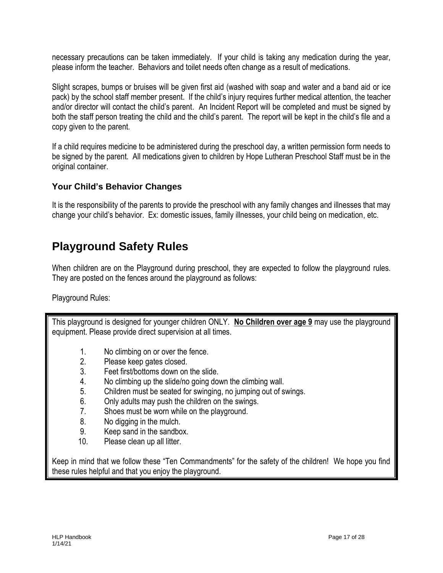necessary precautions can be taken immediately. If your child is taking any medication during the year, please inform the teacher. Behaviors and toilet needs often change as a result of medications.

Slight scrapes, bumps or bruises will be given first aid (washed with soap and water and a band aid or ice pack) by the school staff member present. If the child's injury requires further medical attention, the teacher and/or director will contact the child's parent. An Incident Report will be completed and must be signed by both the staff person treating the child and the child's parent. The report will be kept in the child's file and a copy given to the parent.

If a child requires medicine to be administered during the preschool day, a written permission form needs to be signed by the parent. All medications given to children by Hope Lutheran Preschool Staff must be in the original container.

## **Your Child's Behavior Changes**

It is the responsibility of the parents to provide the preschool with any family changes and illnesses that may change your child's behavior. Ex: domestic issues, family illnesses, your child being on medication, etc.

## **Playground Safety Rules**

When children are on the Playground during preschool, they are expected to follow the playground rules. They are posted on the fences around the playground as follows:

Playground Rules:

This playground is designed for younger children ONLY. **No Children over age 9** may use the playground equipment. Please provide direct supervision at all times.

- 1. No climbing on or over the fence.
- 2. Please keep gates closed.
- 3. Feet first/bottoms down on the slide.
- 4. No climbing up the slide/no going down the climbing wall.
- 5. Children must be seated for swinging, no jumping out of swings.
- 6. Only adults may push the children on the swings.
- 7. Shoes must be worn while on the playground.
- 8. No digging in the mulch.
- 9. Keep sand in the sandbox.
- 10. Please clean up all litter.

Keep in mind that we follow these "Ten Commandments" for the safety of the children! We hope you find these rules helpful and that you enjoy the playground.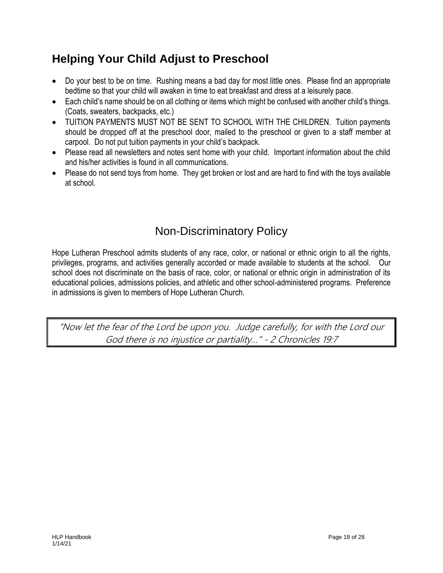## **Helping Your Child Adjust to Preschool**

- Do your best to be on time. Rushing means a bad day for most little ones. Please find an appropriate bedtime so that your child will awaken in time to eat breakfast and dress at a leisurely pace.
- Each child's name should be on all clothing or items which might be confused with another child's things. (Coats, sweaters, backpacks, etc.)
- TUITION PAYMENTS MUST NOT BE SENT TO SCHOOL WITH THE CHILDREN. Tuition payments should be dropped off at the preschool door, mailed to the preschool or given to a staff member at carpool. Do not put tuition payments in your child's backpack.
- Please read all newsletters and notes sent home with your child. Important information about the child and his/her activities is found in all communications.
- Please do not send toys from home. They get broken or lost and are hard to find with the toys available at school.

## Non-Discriminatory Policy

Hope Lutheran Preschool admits students of any race, color, or national or ethnic origin to all the rights, privileges, programs, and activities generally accorded or made available to students at the school. Our school does not discriminate on the basis of race, color, or national or ethnic origin in administration of its educational policies, admissions policies, and athletic and other school-administered programs. Preference in admissions is given to members of Hope Lutheran Church.

"Now let the fear of the Lord be upon you. Judge carefully, for with the Lord our God there is no injustice or partiality…" - 2 Chronicles 19:7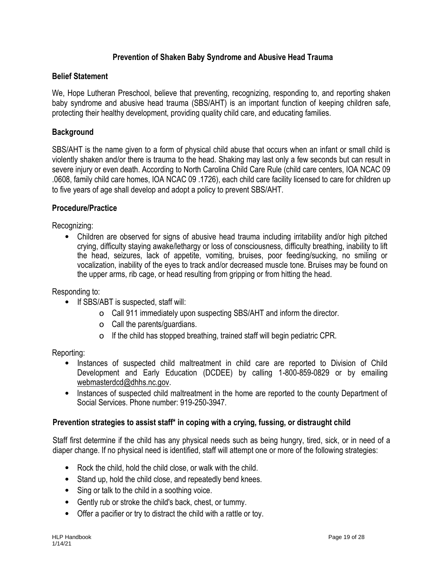#### **Prevention of Shaken Baby Syndrome and Abusive Head Trauma**

#### **Belief Statement**

We, Hope Lutheran Preschool, believe that preventing, recognizing, responding to, and reporting shaken baby syndrome and abusive head trauma (SBS/AHT) is an important function of keeping children safe, protecting their healthy development, providing quality child care, and educating families.

#### **Background**

SBS/AHT is the name given to a form of physical child abuse that occurs when an infant or small child is violently shaken and/or there is trauma to the head. Shaking may last only a few seconds but can result in severe injury or even death. According to North Carolina Child Care Rule (child care centers, IOA NCAC 09 .0608, family child care homes, IOA NCAC 09 .1726), each child care facility licensed to care for children up to five years of age shall develop and adopt a policy to prevent SBS/AHT.

#### **Procedure/Practice**

Recognizing:

• Children are observed for signs of abusive head trauma including irritability and/or high pitched crying, difficulty staying awake/lethargy or loss of consciousness, difficulty breathing, inability to lift the head, seizures, lack of appetite, vomiting, bruises, poor feeding/sucking, no smiling or vocalization, inability of the eyes to track and/or decreased muscle tone. Bruises may be found on the upper arms, rib cage, or head resulting from gripping or from hitting the head.

Responding to:

- If SBS/ABT is suspected, staff will:
	- o Call 911 immediately upon suspecting SBS/AHT and inform the director.
	- o Call the parents/guardians.
	- o If the child has stopped breathing, trained staff will begin pediatric CPR.

Reporting:

- Instances of suspected child maltreatment in child care are reported to Division of Child Development and Early Education (DCDEE) by calling 1-800-859-0829 or by emailing webmasterdcd@dhhs.nc.gov.
- Instances of suspected child maltreatment in the home are reported to the county Department of Social Services. Phone number: 919-250-3947.

#### **Prevention strategies to assist staff\* in coping with a crying, fussing, or distraught child**

Staff first determine if the child has any physical needs such as being hungry, tired, sick, or in need of a diaper change. If no physical need is identified, staff will attempt one or more of the following strategies:

- Rock the child, hold the child close, or walk with the child.
- Stand up, hold the child close, and repeatedly bend knees.
- Sing or talk to the child in a soothing voice.
- Gently rub or stroke the child's back, chest, or tummy.
- Offer a pacifier or try to distract the child with a rattle or toy.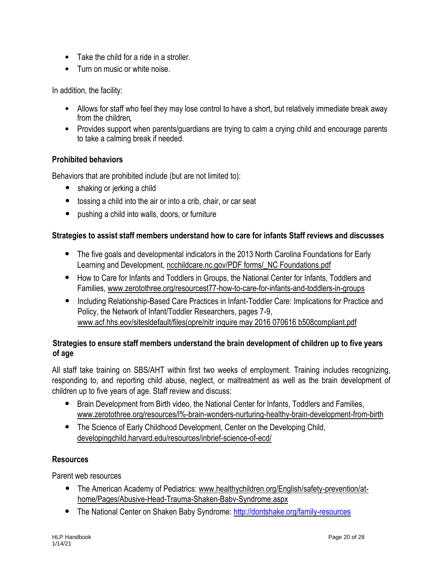- Take the child for a ride in a stroller.
- Turn on music or white noise

In addition, the facility:

- Allows for staff who feel they may lose control to have a short, but relatively immediate break away from the children
- Provides support when parents/guardians are trying to calm a crying child and encourage parents to take a calming break if needed.

#### **Prohibited behaviors**

Behaviors that are prohibited include (but are not limited to):

- shaking or jerking a child
- tossing a child into the air or into a crib, chair, or car seat
- pushing a child into walls, doors, or furniture

#### **Strategies to assist staff members understand how to care for infants Staff reviews and discusses**

- The five goals and developmental indicators in the 2013 North Carolina Foundations for Early Learning and Development, ncchildcare.nc.gov/PDF forms/\_NC Foundations.pdf
- How to Care for Infants and Toddlers in Groups, the National Center for Infants, Toddlers and Families, www.zerotothree.org/resourcest77-how-to-care-for-infants-and-toddlers-in-groups
- Including Relationship-Based Care Practices in Infant-Toddler Care: Implications for Practice and Policy, the Network of Infant/Toddler Researchers, pages 7-9, www.acf.hhs.eov/sitesldefault/files(opre/nitr inquire may 2016 070616 b508compliant.pdf

#### **Strategies to ensure staff members understand the brain development of children up to five years of age**

All staff take training on SBS/AHT within first two weeks of employment. Training includes recognizing, responding to, and reporting child abuse, neglect, or maltreatment as well as the brain development of children up to five years of age. Staff review and discuss:

- Brain Development from Birth video, the National Center for Infants, Toddlers and Families, www.zerotothree.org/resources/l%-brain-wonders-nurturing-healthy-brain-development-from-birth
- The Science of Early Childhood Development, Center on the Developing Child, developingchild.harvard.edu/resources/inbrief-science-of-ecd/

#### **Resources**

Parent web resources

- The American Academy of Pediatrics: www.healthychildren.org/English/safety-prevention/athome/Pages/Abusive-Head-Trauma-Shaken-Babv-Syndrome.aspx
- The National Center on Shaken Baby Syndrome:<http://dontshake.org/family-resources>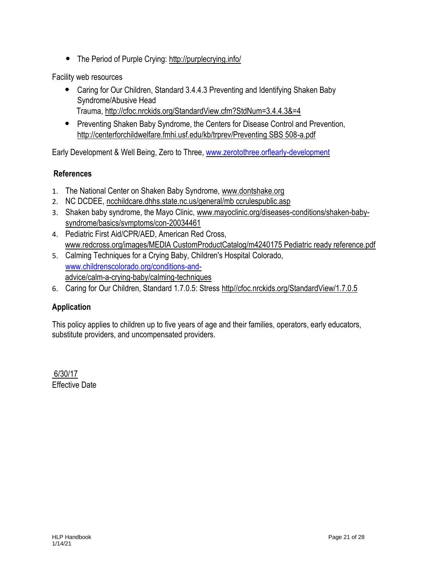• The Period of Purple Crying: http://purplecrying.info/

Facility web resources

- Caring for Our Children, Standard 3.4.4.3 Preventing and Identifying Shaken Baby Syndrome/Abusive Head Trauma, http://cfoc.nrckids.org/StandardView.cfm?StdNum=3.4.4.3&=4
- Preventing Shaken Baby Syndrome, the Centers for Disease Control and Prevention, http://centerforchildwelfare.fmhi.usf.edu/kb/trprev/Preventing SBS 508-a.pdf

Early Development & Well Being, Zero to Three, [www.zerotothree.orflearly-development](http://www.zerotothree.orflearly-development/)

#### **References**

- 1. The National Center on Shaken Baby Syndrome, www.dontshake.org
- 2. NC DCDEE, ncchildcare.dhhs.state.nc.us/general/mb ccrulespublic.asp
- 3. Shaken baby syndrome, the Mayo Clinic, www.mayoclinic.org/diseases-conditions/shaken-babysyndrome/basics/svmptoms/con-20034461
- 4. Pediatric First Aid/CPR/AED, American Red Cross, www.redcross.org/images/MEDlA CustomProductCatalog/m4240175 Pediatric ready reference.pdf
- 5. Calming Techniques for a Crying Baby, Children's Hospital Colorado, [www.childrenscolorado.org/conditions-and](http://www.childrenscolorado.org/conditions-and-)advice/calm-a-crying-baby/calming-techniques
- 6. Caring for Our Children, Standard 1.7.0.5: Stress http//cfoc.nrckids.org/StandardView/1.7.0.5

## **Application**

This policy applies to children up to five years of age and their families, operators, early educators, substitute providers, and uncompensated providers.

6/30/17 Effective Date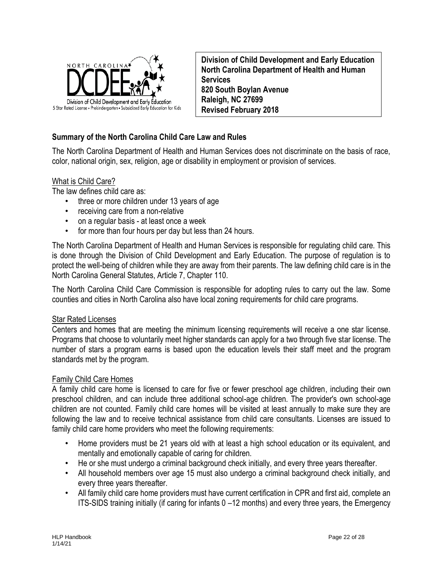

**Division of Child Development and Early Education North Carolina Department of Health and Human Services 820 South Boylan Avenue Raleigh, NC 27699 Revised February 2018**

#### **Summary of the North Carolina Child Care Law and Rules**

The North Carolina Department of Health and Human Services does not discriminate on the basis of race, color, national origin, sex, religion, age or disability in employment or provision of services.

#### What is Child Care?

The law defines child care as:

- three or more children under 13 years of age
- receiving care from a non-relative
- on a regular basis at least once a week
- for more than four hours per day but less than 24 hours.

The North Carolina Department of Health and Human Services is responsible for regulating child care. This is done through the Division of Child Development and Early Education. The purpose of regulation is to protect the well-being of children while they are away from their parents. The law defining child care is in the North Carolina General Statutes, Article 7, Chapter 110.

The North Carolina Child Care Commission is responsible for adopting rules to carry out the law. Some counties and cities in North Carolina also have local zoning requirements for child care programs.

#### Star Rated Licenses

Centers and homes that are meeting the minimum licensing requirements will receive a one star license. Programs that choose to voluntarily meet higher standards can apply for a two through five star license. The number of stars a program earns is based upon the education levels their staff meet and the program standards met by the program.

#### Family Child Care Homes

A family child care home is licensed to care for five or fewer preschool age children, including their own preschool children, and can include three additional school-age children. The provider's own school-age children are not counted. Family child care homes will be visited at least annually to make sure they are following the law and to receive technical assistance from child care consultants. Licenses are issued to family child care home providers who meet the following requirements:

- Home providers must be 21 years old with at least a high school education or its equivalent, and mentally and emotionally capable of caring for children.
- He or she must undergo a criminal background check initially, and every three years thereafter.
- All household members over age 15 must also undergo a criminal background check initially, and every three years thereafter.
- All family child care home providers must have current certification in CPR and first aid, complete an ITS-SIDS training initially (if caring for infants 0 –12 months) and every three years, the Emergency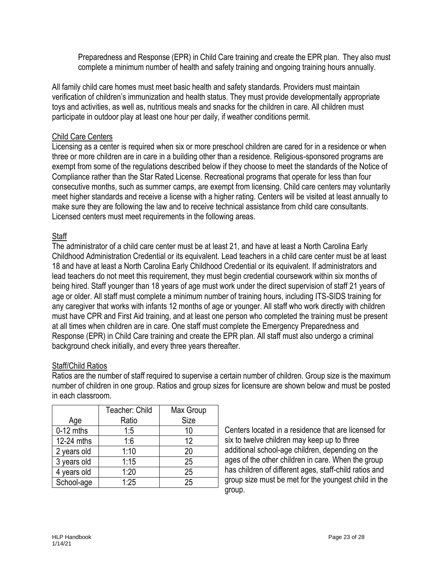Preparedness and Response (EPR) in Child Care training and create the EPR plan. They also must complete a minimum number of health and safety training and ongoing training hours annually.

All family child care homes must meet basic health and safety standards. Providers must maintain verification of children's immunization and health status. They must provide developmentally appropriate toys and activities, as well as, nutritious meals and snacks for the children in care. All children must participate in outdoor play at least one hour per daily, if weather conditions permit.

#### Child Care Centers

Licensing as a center is required when six or more preschool children are cared for in a residence or when three or more children are in care in a building other than a residence. Religious-sponsored programs are exempt from some of the regulations described below if they choose to meet the standards of the Notice of Compliance rather than the Star Rated License. Recreational programs that operate for less than four consecutive months, such as summer camps, are exempt from licensing. Child care centers may voluntarily meet higher standards and receive a license with a higher rating. Centers will be visited at least annually to make sure they are following the law and to receive technical assistance from child care consultants. Licensed centers must meet requirements in the following areas.

#### **Staff**

The administrator of a child care center must be at least 21, and have at least a North Carolina Early Childhood Administration Credential or its equivalent. Lead teachers in a child care center must be at least 18 and have at least a North Carolina Early Childhood Credential or its equivalent. If administrators and lead teachers do not meet this requirement, they must begin credential coursework within six months of being hired. Staff younger than 18 years of age must work under the direct supervision of staff 21 years of age or older. All staff must complete a minimum number of training hours, including ITS-SIDS training for any caregiver that works with infants 12 months of age or younger. All staff who work directly with children must have CPR and First Aid training, and at least one person who completed the training must be present at all times when children are in care. One staff must complete the Emergency Preparedness and Response (EPR) in Child Care training and create the EPR plan. All staff must also undergo a criminal background check initially, and every three years thereafter.

#### Staff/Child Ratios

Ratios are the number of staff required to supervise a certain number of children. Group size is the maximum number of children in one group. Ratios and group sizes for licensure are shown below and must be posted in each classroom.

|             | Teacher: Child | Max Group |
|-------------|----------------|-----------|
| Age         | Ratio          | Size      |
| $0-12$ mths | 1:5            | 10        |
| 12-24 mths  | 1:6            | 12        |
| 2 years old | 1:10           | 20        |
| 3 years old | 1:15           | 25        |
| 4 years old | 1:20           | 25        |
| School-age  | 1:25           | 25        |

Centers located in a residence that are licensed for six to twelve children may keep up to three additional school-age children, depending on the ages of the other children in care. When the group has children of different ages, staff-child ratios and group size must be met for the youngest child in the group.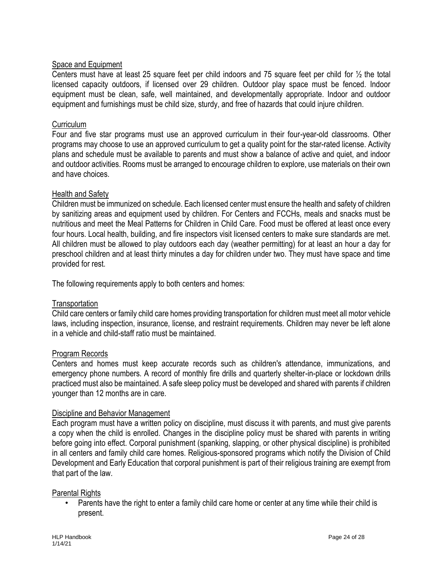#### Space and Equipment

Centers must have at least 25 square feet per child indoors and 75 square feet per child for ½ the total licensed capacity outdoors, if licensed over 29 children. Outdoor play space must be fenced. Indoor equipment must be clean, safe, well maintained, and developmentally appropriate. Indoor and outdoor equipment and furnishings must be child size, sturdy, and free of hazards that could injure children.

#### Curriculum

Four and five star programs must use an approved curriculum in their four-year-old classrooms. Other programs may choose to use an approved curriculum to get a quality point for the star-rated license. Activity plans and schedule must be available to parents and must show a balance of active and quiet, and indoor and outdoor activities. Rooms must be arranged to encourage children to explore, use materials on their own and have choices.

#### Health and Safety

Children must be immunized on schedule. Each licensed center must ensure the health and safety of children by sanitizing areas and equipment used by children. For Centers and FCCHs, meals and snacks must be nutritious and meet the Meal Patterns for Children in Child Care. Food must be offered at least once every four hours. Local health, building, and fire inspectors visit licensed centers to make sure standards are met. All children must be allowed to play outdoors each day (weather permitting) for at least an hour a day for preschool children and at least thirty minutes a day for children under two. They must have space and time provided for rest.

The following requirements apply to both centers and homes:

#### **Transportation**

Child care centers or family child care homes providing transportation for children must meet all motor vehicle laws, including inspection, insurance, license, and restraint requirements. Children may never be left alone in a vehicle and child-staff ratio must be maintained.

#### Program Records

Centers and homes must keep accurate records such as children's attendance, immunizations, and emergency phone numbers. A record of monthly fire drills and quarterly shelter-in-place or lockdown drills practiced must also be maintained. A safe sleep policy must be developed and shared with parents if children younger than 12 months are in care.

#### Discipline and Behavior Management

Each program must have a written policy on discipline, must discuss it with parents, and must give parents a copy when the child is enrolled. Changes in the discipline policy must be shared with parents in writing before going into effect. Corporal punishment (spanking, slapping, or other physical discipline) is prohibited in all centers and family child care homes. Religious-sponsored programs which notify the Division of Child Development and Early Education that corporal punishment is part of their religious training are exempt from that part of the law.

#### Parental Rights

• Parents have the right to enter a family child care home or center at any time while their child is present.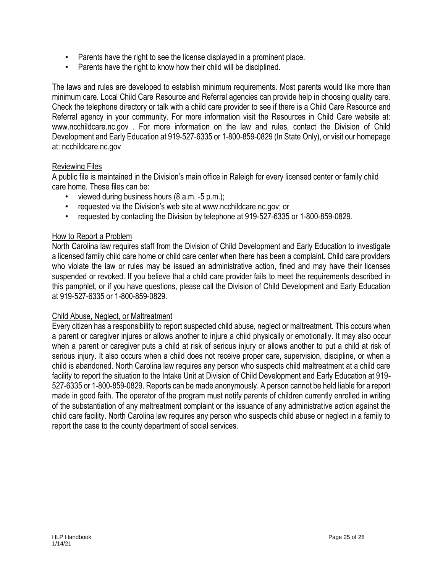- Parents have the right to see the license displayed in a prominent place.
- Parents have the right to know how their child will be disciplined.

The laws and rules are developed to establish minimum requirements. Most parents would like more than minimum care. Local Child Care Resource and Referral agencies can provide help in choosing quality care. Check the telephone directory or talk with a child care provider to see if there is a Child Care Resource and Referral agency in your community. For more information visit the Resources in Child Care website at: www.ncchildcare.nc.gov . For more information on the law and rules, contact the Division of Child Development and Early Education at 919-527-6335 or 1-800-859-0829 (In State Only), or visit our homepage at: ncchildcare.nc.gov

#### Reviewing Files

A public file is maintained in the Division's main office in Raleigh for every licensed center or family child care home. These files can be:

- viewed during business hours (8 a.m. -5 p.m.);
- requested via the Division's web site at www.ncchildcare.nc.gov; or
- requested by contacting the Division by telephone at 919-527-6335 or 1-800-859-0829.

#### How to Report a Problem

North Carolina law requires staff from the Division of Child Development and Early Education to investigate a licensed family child care home or child care center when there has been a complaint. Child care providers who violate the law or rules may be issued an administrative action, fined and may have their licenses suspended or revoked. If you believe that a child care provider fails to meet the requirements described in this pamphlet, or if you have questions, please call the Division of Child Development and Early Education at 919-527-6335 or 1-800-859-0829.

#### Child Abuse, Neglect, or Maltreatment

Every citizen has a responsibility to report suspected child abuse, neglect or maltreatment. This occurs when a parent or caregiver injures or allows another to injure a child physically or emotionally. It may also occur when a parent or caregiver puts a child at risk of serious injury or allows another to put a child at risk of serious injury. It also occurs when a child does not receive proper care, supervision, discipline, or when a child is abandoned. North Carolina law requires any person who suspects child maltreatment at a child care facility to report the situation to the Intake Unit at Division of Child Development and Early Education at 919- 527-6335 or 1-800-859-0829. Reports can be made anonymously. A person cannot be held liable for a report made in good faith. The operator of the program must notify parents of children currently enrolled in writing of the substantiation of any maltreatment complaint or the issuance of any administrative action against the child care facility. North Carolina law requires any person who suspects child abuse or neglect in a family to report the case to the county department of social services.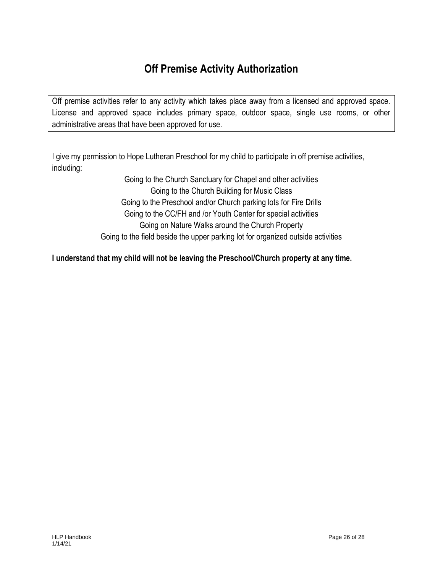## **Off Premise Activity Authorization**

Off premise activities refer to any activity which takes place away from a licensed and approved space. License and approved space includes primary space, outdoor space, single use rooms, or other administrative areas that have been approved for use.

I give my permission to Hope Lutheran Preschool for my child to participate in off premise activities, including:

> Going to the Church Sanctuary for Chapel and other activities Going to the Church Building for Music Class Going to the Preschool and/or Church parking lots for Fire Drills Going to the CC/FH and /or Youth Center for special activities Going on Nature Walks around the Church Property Going to the field beside the upper parking lot for organized outside activities

**I understand that my child will not be leaving the Preschool/Church property at any time.**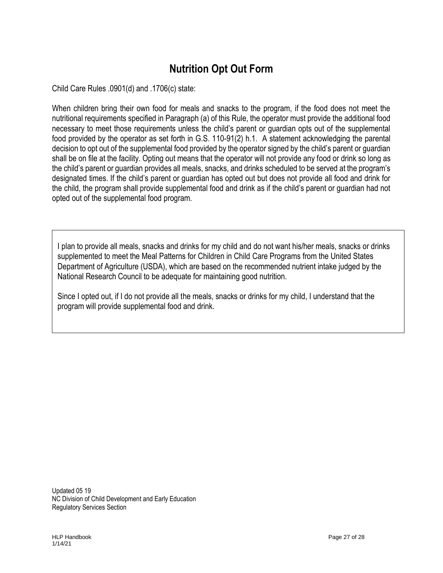## **Nutrition Opt Out Form**

Child Care Rules .0901(d) and .1706(c) state:

When children bring their own food for meals and snacks to the program, if the food does not meet the nutritional requirements specified in Paragraph (a) of this Rule, the operator must provide the additional food necessary to meet those requirements unless the child's parent or guardian opts out of the supplemental food provided by the operator as set forth in G.S. 110-91(2) h.1. A statement acknowledging the parental decision to opt out of the supplemental food provided by the operator signed by the child's parent or guardian shall be on file at the facility. Opting out means that the operator will not provide any food or drink so long as the child's parent or guardian provides all meals, snacks, and drinks scheduled to be served at the program's designated times. If the child's parent or guardian has opted out but does not provide all food and drink for the child, the program shall provide supplemental food and drink as if the child's parent or guardian had not opted out of the supplemental food program.

I plan to provide all meals, snacks and drinks for my child and do not want his/her meals, snacks or drinks supplemented to meet the Meal Patterns for Children in Child Care Programs from the United States Department of Agriculture (USDA), which are based on the recommended nutrient intake judged by the National Research Council to be adequate for maintaining good nutrition.

Since I opted out, if I do not provide all the meals, snacks or drinks for my child, I understand that the program will provide supplemental food and drink.

Updated 05 19 NC Division of Child Development and Early Education Regulatory Services Section